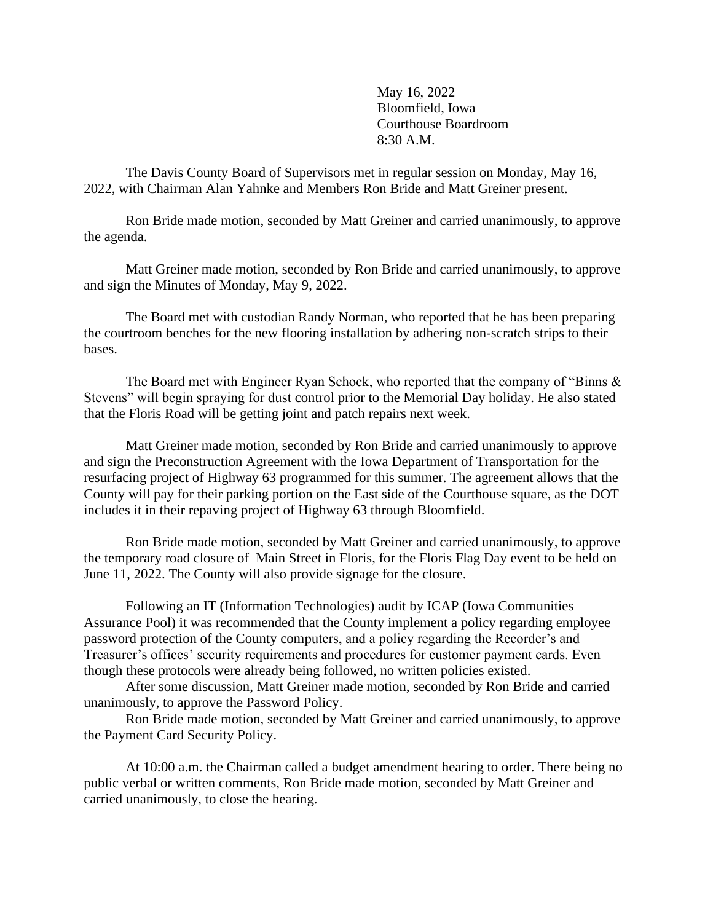May 16, 2022 Bloomfield, Iowa Courthouse Boardroom 8:30 A.M.

The Davis County Board of Supervisors met in regular session on Monday, May 16, 2022, with Chairman Alan Yahnke and Members Ron Bride and Matt Greiner present.

Ron Bride made motion, seconded by Matt Greiner and carried unanimously, to approve the agenda.

Matt Greiner made motion, seconded by Ron Bride and carried unanimously, to approve and sign the Minutes of Monday, May 9, 2022.

The Board met with custodian Randy Norman, who reported that he has been preparing the courtroom benches for the new flooring installation by adhering non-scratch strips to their bases.

The Board met with Engineer Ryan Schock, who reported that the company of "Binns & Stevens" will begin spraying for dust control prior to the Memorial Day holiday. He also stated that the Floris Road will be getting joint and patch repairs next week.

Matt Greiner made motion, seconded by Ron Bride and carried unanimously to approve and sign the Preconstruction Agreement with the Iowa Department of Transportation for the resurfacing project of Highway 63 programmed for this summer. The agreement allows that the County will pay for their parking portion on the East side of the Courthouse square, as the DOT includes it in their repaving project of Highway 63 through Bloomfield.

Ron Bride made motion, seconded by Matt Greiner and carried unanimously, to approve the temporary road closure of Main Street in Floris, for the Floris Flag Day event to be held on June 11, 2022. The County will also provide signage for the closure.

Following an IT (Information Technologies) audit by ICAP (Iowa Communities Assurance Pool) it was recommended that the County implement a policy regarding employee password protection of the County computers, and a policy regarding the Recorder's and Treasurer's offices' security requirements and procedures for customer payment cards. Even though these protocols were already being followed, no written policies existed.

After some discussion, Matt Greiner made motion, seconded by Ron Bride and carried unanimously, to approve the Password Policy.

Ron Bride made motion, seconded by Matt Greiner and carried unanimously, to approve the Payment Card Security Policy.

 At 10:00 a.m. the Chairman called a budget amendment hearing to order. There being no public verbal or written comments, Ron Bride made motion, seconded by Matt Greiner and carried unanimously, to close the hearing.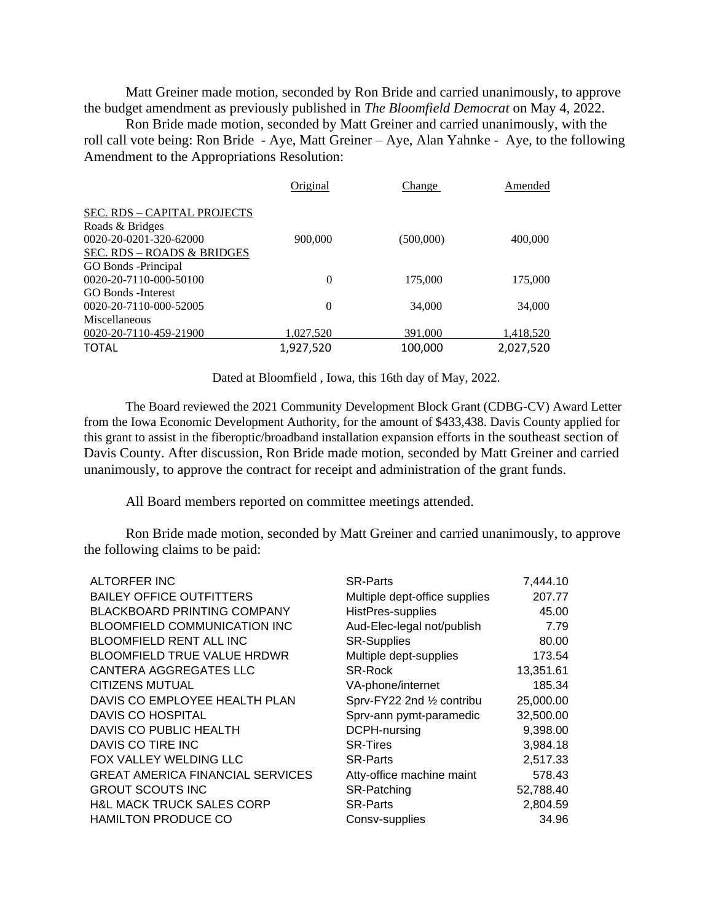Matt Greiner made motion, seconded by Ron Bride and carried unanimously, to approve the budget amendment as previously published in *The Bloomfield Democrat* on May 4, 2022.

 Ron Bride made motion, seconded by Matt Greiner and carried unanimously, with the roll call vote being: Ron Bride - Aye, Matt Greiner – Aye, Alan Yahnke - Aye, to the following Amendment to the Appropriations Resolution:

|                                       | Original  | Change    | Amended   |
|---------------------------------------|-----------|-----------|-----------|
| SEC. RDS - CAPITAL PROJECTS           |           |           |           |
| Roads & Bridges                       |           |           |           |
| 0020-20-0201-320-62000                | 900,000   | (500,000) | 400,000   |
| <u>SEC. RDS – ROADS &amp; BRIDGES</u> |           |           |           |
| GO Bonds - Principal                  |           |           |           |
| 0020-20-7110-000-50100                | $\theta$  | 175,000   | 175,000   |
| <b>GO Bonds</b> - Interest            |           |           |           |
| 0020-20-7110-000-52005                | $\Omega$  | 34,000    | 34,000    |
| Miscellaneous                         |           |           |           |
| 0020-20-7110-459-21900                | 1,027,520 | 391,000   | 1,418,520 |
| <b>TOTAL</b>                          | 1,927,520 | 100,000   | 2,027,520 |

Dated at Bloomfield , Iowa, this 16th day of May, 2022.

 The Board reviewed the 2021 Community Development Block Grant (CDBG-CV) Award Letter from the Iowa Economic Development Authority, for the amount of \$433,438. Davis County applied for this grant to assist in the fiberoptic/broadband installation expansion efforts in the southeast section of Davis County. After discussion, Ron Bride made motion, seconded by Matt Greiner and carried unanimously, to approve the contract for receipt and administration of the grant funds.

All Board members reported on committee meetings attended.

Ron Bride made motion, seconded by Matt Greiner and carried unanimously, to approve the following claims to be paid:

| <b>ALTORFER INC</b>                     | <b>SR-Parts</b>               | 7,444.10  |
|-----------------------------------------|-------------------------------|-----------|
| <b>BAILEY OFFICE OUTFITTERS</b>         | Multiple dept-office supplies | 207.77    |
| <b>BLACKBOARD PRINTING COMPANY</b>      | HistPres-supplies             | 45.00     |
| <b>BLOOMFIELD COMMUNICATION INC</b>     | Aud-Elec-legal not/publish    | 7.79      |
| <b>BLOOMFIELD RENT ALL INC</b>          | <b>SR-Supplies</b>            | 80.00     |
| <b>BLOOMFIELD TRUE VALUE HRDWR</b>      | Multiple dept-supplies        | 173.54    |
| CANTERA AGGREGATES LLC                  | <b>SR-Rock</b>                | 13,351.61 |
| <b>CITIZENS MUTUAL</b>                  | VA-phone/internet             | 185.34    |
| DAVIS CO EMPLOYEE HEALTH PLAN           | Sprv-FY22 2nd 1/2 contribu    | 25,000.00 |
| <b>DAVIS CO HOSPITAL</b>                | Sprv-ann pymt-paramedic       | 32,500.00 |
| DAVIS CO PUBLIC HEALTH                  | DCPH-nursing                  | 9,398.00  |
| DAVIS CO TIRE INC                       | <b>SR-Tires</b>               | 3,984.18  |
| FOX VALLEY WELDING LLC                  | <b>SR-Parts</b>               | 2,517.33  |
| <b>GREAT AMERICA FINANCIAL SERVICES</b> | Atty-office machine maint     | 578.43    |
| <b>GROUT SCOUTS INC</b>                 | SR-Patching                   | 52,788.40 |
| <b>H&amp;L MACK TRUCK SALES CORP</b>    | <b>SR-Parts</b>               | 2,804.59  |
| <b>HAMILTON PRODUCE CO</b>              | Consv-supplies                | 34.96     |
|                                         |                               |           |